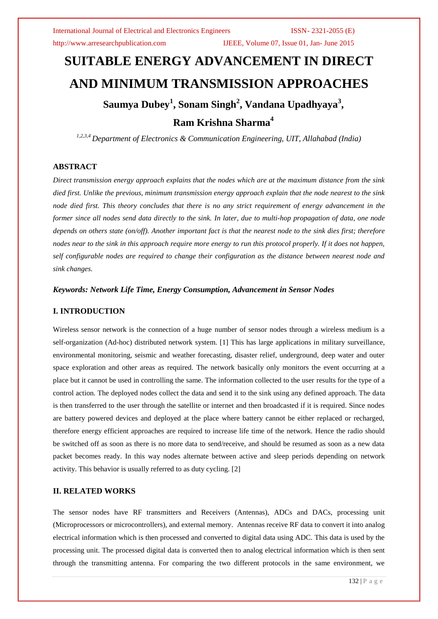# **SUITABLE ENERGY ADVANCEMENT IN DIRECT AND MINIMUM TRANSMISSION APPROACHES Saumya Dubey<sup>1</sup> , Sonam Singh<sup>2</sup> , Vandana Upadhyaya<sup>3</sup> , Ram Krishna Sharma<sup>4</sup>**

*1,2,3,4 Department of Electronics & Communication Engineering, UIT, Allahabad (India)*

# **ABSTRACT**

*Direct transmission energy approach explains that the nodes which are at the maximum distance from the sink died first. Unlike the previous, minimum transmission energy approach explain that the node nearest to the sink node died first. This theory concludes that there is no any strict requirement of energy advancement in the former since all nodes send data directly to the sink. In later, due to multi-hop propagation of data, one node depends on others state (on/off). Another important fact is that the nearest node to the sink dies first; therefore nodes near to the sink in this approach require more energy to run this protocol properly. If it does not happen, self configurable nodes are required to change their configuration as the distance between nearest node and sink changes.*

### *Keywords: Network Life Time, Energy Consumption, Advancement in Sensor Nodes*

# **I. INTRODUCTION**

Wireless sensor network is the connection of a huge number of sensor nodes through a wireless medium is a self-organization (Ad-hoc) distributed network system. [1] This has large applications in military surveillance, environmental monitoring, seismic and weather forecasting, disaster relief, underground, deep water and outer space exploration and other areas as required. The network basically only monitors the event occurring at a place but it cannot be used in controlling the same. The information collected to the user results for the type of a control action. The deployed nodes collect the data and send it to the sink using any defined approach. The data is then transferred to the user through the satellite or internet and then broadcasted if it is required. Since nodes are battery powered devices and deployed at the place where battery cannot be either replaced or recharged, therefore energy efficient approaches are required to increase life time of the network. Hence the radio should be switched off as soon as there is no more data to send/receive, and should be resumed as soon as a new data packet becomes ready. In this way nodes alternate between active and sleep periods depending on network activity. This behavior is usually referred to as duty cycling. [2]

## **II. RELATED WORKS**

The sensor nodes have RF transmitters and Receivers (Antennas), ADCs and DACs, processing unit (Microprocessors or microcontrollers), and external memory. Antennas receive RF data to convert it into analog electrical information which is then processed and converted to digital data using ADC. This data is used by the processing unit. The processed digital data is converted then to analog electrical information which is then sent through the transmitting antenna. For comparing the two different protocols in the same environment, we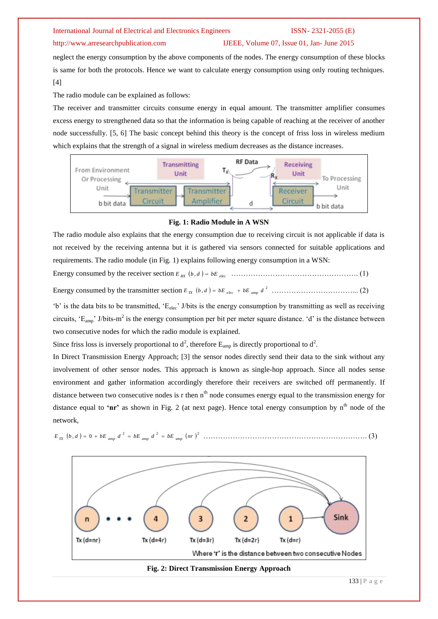### http://www.arresearchpublication.com IJEEE, Volume 07, Issue 01, Jan- June 2015

neglect the energy consumption by the above components of the nodes. The energy consumption of these blocks is same for both the protocols. Hence we want to calculate energy consumption using only routing techniques. [4]

The radio module can be explained as follows:

The receiver and transmitter circuits consume energy in equal amount. The transmitter amplifier consumes excess energy to strengthened data so that the information is being capable of reaching at the receiver of another node successfully. [5, 6] The basic concept behind this theory is the concept of friss loss in wireless medium which explains that the strength of a signal in wireless medium decreases as the distance increases.



### **Fig. 1: Radio Module in A WSN**

The radio module also explains that the energy consumption due to receiving circuit is not applicable if data is not received by the receiving antenna but it is gathered via sensors connected for suitable applications and requirements. The radio module (in Fig. 1) explains following energy consumption in a WSN:

Energy consumed by the receiver section *RX elec <sup>E</sup> <sup>b</sup>* , *<sup>d</sup> bE* ……………………………………………. (1)

Energy consumed by the transmitter section 2 *E b* , *d bE bE d TX elec amp* ……………………………... (2)

'b' is the data bits to be transmitted, 'E<sub>elec</sub>' J/bits is the energy consumption by transmitting as well as receiving circuits,  $E_{amp}$ ' J/bits-m<sup>2</sup> is the energy consumption per bit per meter square distance. 'd' is the distance between two consecutive nodes for which the radio module is explained.

Since friss loss is inversely proportional to  $d^2$ , therefore  $E_{amp}$  is directly proportional to  $d^2$ .

In Direct Transmission Energy Approach; [3] the sensor nodes directly send their data to the sink without any involvement of other sensor nodes. This approach is known as single-hop approach. Since all nodes sense environment and gather information accordingly therefore their receivers are switched off permanently. If distance between two consecutive nodes is r then  $n<sup>th</sup>$  node consumes energy equal to the transmission energy for distance equal to 'nr' as shown in Fig. 2 (at next page). Hence total energy consumption by n<sup>th</sup> node of the network,

2 2 2 *E b* , *d* 0 *bE d bE d bE nr TX amp amp amp* …………………………………………………………. (3)



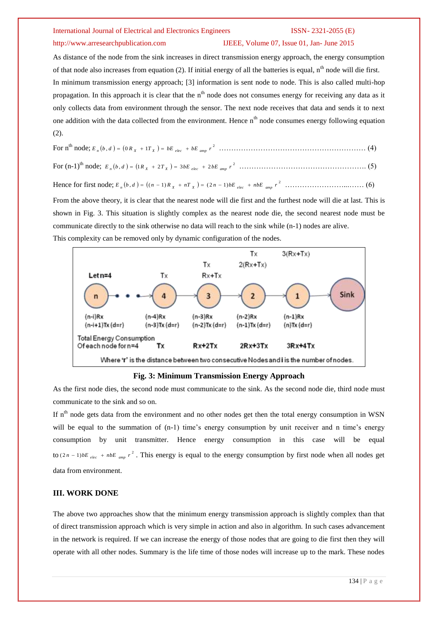### http://www.arresearchpublication.com IJEEE, Volume 07, Issue 01, Jan- June 2015

As distance of the node from the sink increases in direct transmission energy approach, the energy consumption of that node also increases from equation (2). If initial energy of all the batteries is equal,  $n<sup>th</sup>$  node will die first. In minimum transmission energy approach; [3] information is sent node to node. This is also called multi-hop propagation. In this approach it is clear that the  $n<sup>th</sup>$  node does not consumes energy for receiving any data as it only collects data from environment through the sensor. The next node receives that data and sends it to next one addition with the data collected from the environment. Hence  $n^{th}$  node consumes energy following equation (2).

From the above theory, it is clear that the nearest node will die first and the furthest node will die at last. This is shown in Fig. 3. This situation is slightly complex as the nearest node die, the second nearest node must be communicate directly to the sink otherwise no data will reach to the sink while (n-1) nodes are alive.

This complexity can be removed only by dynamic configuration of the nodes.



**Fig. 3: Minimum Transmission Energy Approach**

As the first node dies, the second node must communicate to the sink. As the second node die, third node must communicate to the sink and so on.

If  $n<sup>th</sup>$  node gets data from the environment and no other nodes get then the total energy consumption in WSN will be equal to the summation of  $(n-1)$  time's energy consumption by unit receiver and n time's energy consumption by unit transmitter. Hence energy consumption in this case will be equal to  $(2n-1)bE_{elec} + nbE_{amp}r^2$ . This energy is equal to the energy consumption by first node when all nodes get data from environment.

# **III. WORK DONE**

The above two approaches show that the minimum energy transmission approach is slightly complex than that of direct transmission approach which is very simple in action and also in algorithm. In such cases advancement in the network is required. If we can increase the energy of those nodes that are going to die first then they will operate with all other nodes. Summary is the life time of those nodes will increase up to the mark. These nodes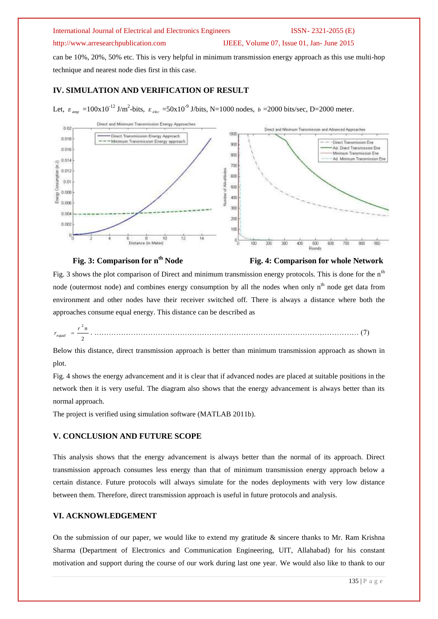# http://www.arresearchpublication.com IJEEE, Volume 07, Issue 01, Jan- June 2015

can be 10%, 20%, 50% etc. This is very helpful in minimum transmission energy approach as this use multi-hop technique and nearest node dies first in this case.

# **IV. SIMULATION AND VERIFICATION OF RESULT**

Let,  $E_{amp} = 100 \times 10^{-12}$  J/m<sup>2</sup>-bits,  $E_{elec} = 50 \times 10^{-9}$  J/bits, N=1000 nodes,  $b = 2000$  bits/sec, D=2000 meter.



# **Fig. 3: Comparison for n<sup>th</sup> Node Fig. 4: Comparison for whole Network**

Fig. 3 shows the plot comparison of Direct and minimum transmission energy protocols. This is done for the n<sup>th</sup> node (outermost node) and combines energy consumption by all the nodes when only n<sup>th</sup> node get data from environment and other nodes have their receiver switched off. There is always a distance where both the approaches consume equal energy. This distance can be described as

2 2 *r n r equal* . ……………………………………………………………………………………………… (7)

Below this distance, direct transmission approach is better than minimum transmission approach as shown in plot.

Fig. 4 shows the energy advancement and it is clear that if advanced nodes are placed at suitable positions in the network then it is very useful. The diagram also shows that the energy advancement is always better than its normal approach.

The project is verified using simulation software (MATLAB 2011b).

### **V. CONCLUSION AND FUTURE SCOPE**

This analysis shows that the energy advancement is always better than the normal of its approach. Direct transmission approach consumes less energy than that of minimum transmission energy approach below a certain distance. Future protocols will always simulate for the nodes deployments with very low distance between them. Therefore, direct transmission approach is useful in future protocols and analysis.

### **VI. ACKNOWLEDGEMENT**

On the submission of our paper, we would like to extend my gratitude  $\&$  sincere thanks to Mr. Ram Krishna Sharma (Department of Electronics and Communication Engineering, UIT, Allahabad) for his constant motivation and support during the course of our work during last one year. We would also like to thank to our